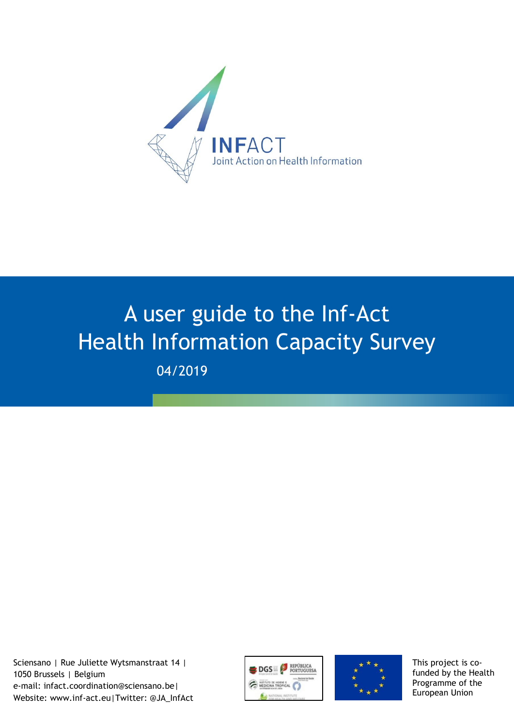

# A user guide to the Inf-Act Health Information Capacity Survey 04/2019

Sciensano | Rue Juliette Wytsmanstraat 14 | 1050 Brussels | Belgium e-mail: infact.coordination@sciensano.be| Website: www.inf-act.eu|Twitter: @JA\_InfAct





This project is cofunded by the Health Programme of the European Union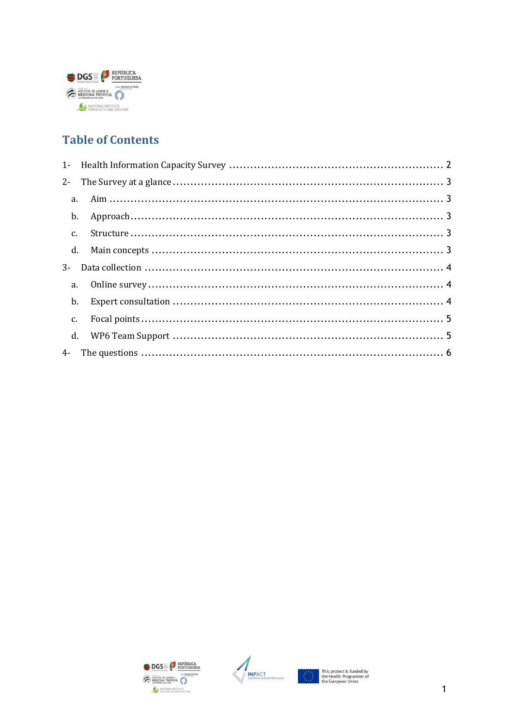

## **Table of Contents**

| $2 -$ |  |
|-------|--|
|       |  |
| b.    |  |
|       |  |
|       |  |
| $3-$  |  |
| a.    |  |
| b.    |  |
| c.    |  |
|       |  |
|       |  |
|       |  |





Ŧ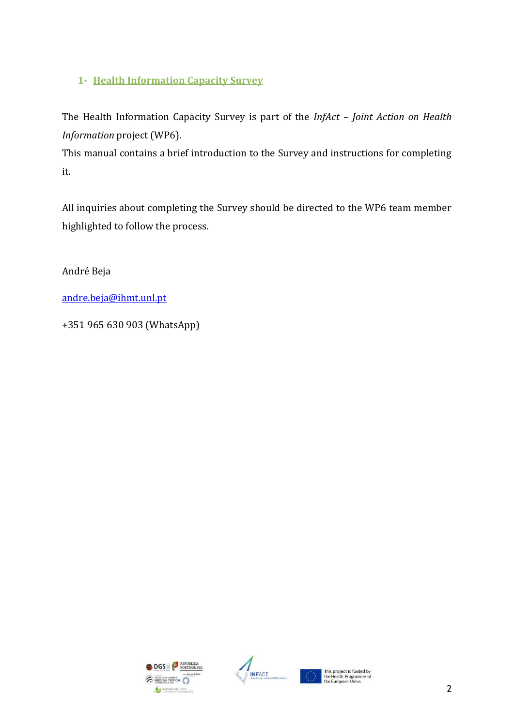## <span id="page-2-0"></span>**1- Health Information Capacity Survey**

The Health Information Capacity Survey is part of the *InfAct – Joint Action on Health Information* project (WP6).

This manual contains a brief introduction to the Survey and instructions for completing it.

All inquiries about completing the Survey should be directed to the WP6 team member highlighted to follow the process.

André Beja

[andre.beja@ihmt.unl.pt](mailto:andre.beja@ihmt.unl.pt)

+351 965 630 903 (WhatsApp)



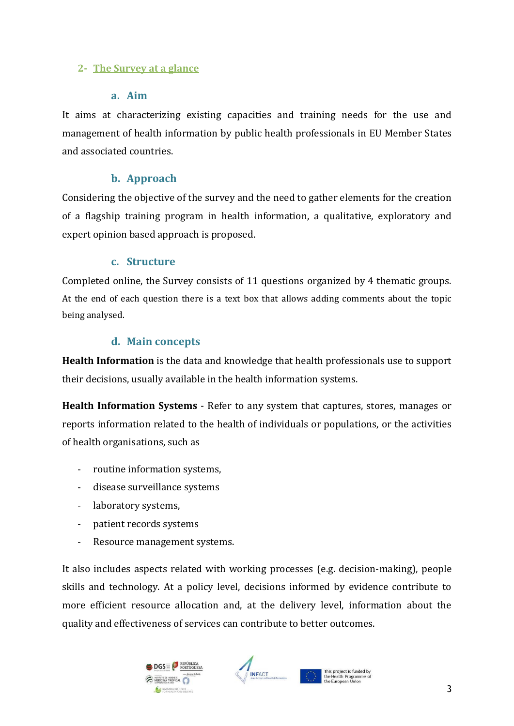### <span id="page-3-1"></span><span id="page-3-0"></span>**2- The Survey at a glance**

### **a. Aim**

It aims at characterizing existing capacities and training needs for the use and management of health information by public health professionals in EU Member States and associated countries.

## **b. Approach**

<span id="page-3-2"></span>Considering the objective of the survey and the need to gather elements for the creation of a flagship training program in health information, a qualitative, exploratory and expert opinion based approach is proposed.

## **c. Structure**

<span id="page-3-3"></span>Completed online, the Survey consists of 11 questions organized by 4 thematic groups. At the end of each question there is a text box that allows adding comments about the topic being analysed.

## **d. Main concepts**

<span id="page-3-4"></span>**Health Information** is the data and knowledge that health professionals use to support their decisions, usually available in the health information systems.

**Health Information Systems** - Refer to any system that captures, stores, manages or reports information related to the health of individuals or populations, or the activities of health organisations, such as

- routine information systems,
- disease surveillance systems
- laboratory systems,
- patient records systems
- Resource management systems.

It also includes aspects related with working processes (e.g. decision-making), people skills and technology. At a policy level, decisions informed by evidence contribute to more efficient resource allocation and, at the delivery level, information about the quality and effectiveness of services can contribute to better outcomes.



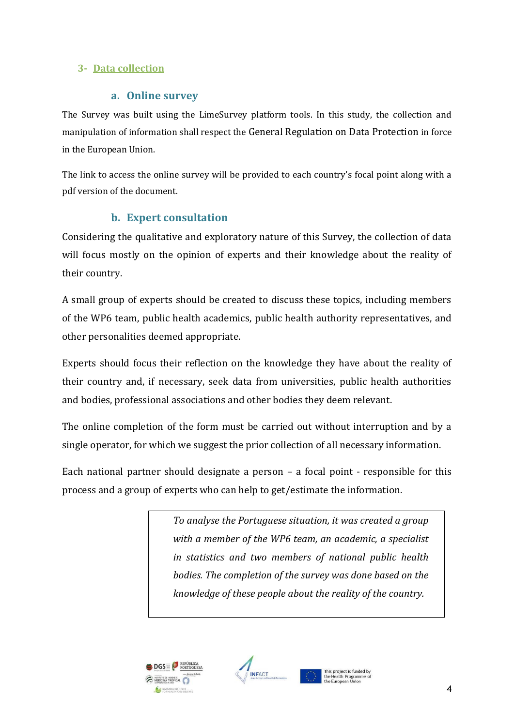## <span id="page-4-1"></span><span id="page-4-0"></span>**3- Data collection**

### **a. Online survey**

The Survey was built using the LimeSurvey platform tools. In this study, the collection and manipulation of information shall respect the General Regulation on Data Protection in force in the European Union.

The link to access the online survey will be provided to each country's focal point along with a pdf version of the document.

## **b. Expert consultation**

<span id="page-4-2"></span>Considering the qualitative and exploratory nature of this Survey, the collection of data will focus mostly on the opinion of experts and their knowledge about the reality of their country.

A small group of experts should be created to discuss these topics, including members of the WP6 team, public health academics, public health authority representatives, and other personalities deemed appropriate.

Experts should focus their reflection on the knowledge they have about the reality of their country and, if necessary, seek data from universities, public health authorities and bodies, professional associations and other bodies they deem relevant.

The online completion of the form must be carried out without interruption and by a single operator, for which we suggest the prior collection of all necessary information.

Each national partner should designate a person – a focal point - responsible for this process and a group of experts who can help to get/estimate the information.

> *To analyse the Portuguese situation, it was created a group with a member of the WP6 team, an academic, a specialist in statistics and two members of national public health bodies. The completion of the survey was done based on the knowledge of these people about the reality of the country.*



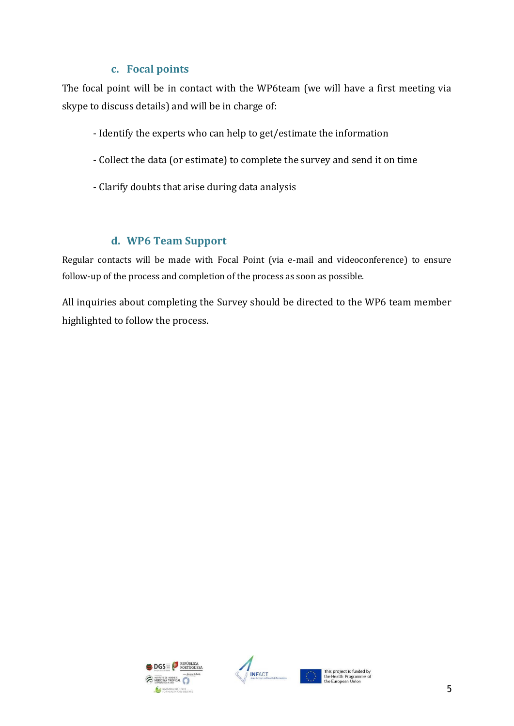## **c. Focal points**

<span id="page-5-0"></span>The focal point will be in contact with the WP6team (we will have a first meeting via skype to discuss details) and will be in charge of:

- Identify the experts who can help to get/estimate the information
- Collect the data (or estimate) to complete the survey and send it on time
- Clarify doubts that arise during data analysis

## **d. WP6 Team Support**

<span id="page-5-1"></span>Regular contacts will be made with Focal Point (via e-mail and videoconference) to ensure follow-up of the process and completion of the process as soon as possible.

All inquiries about completing the Survey should be directed to the WP6 team member highlighted to follow the process.



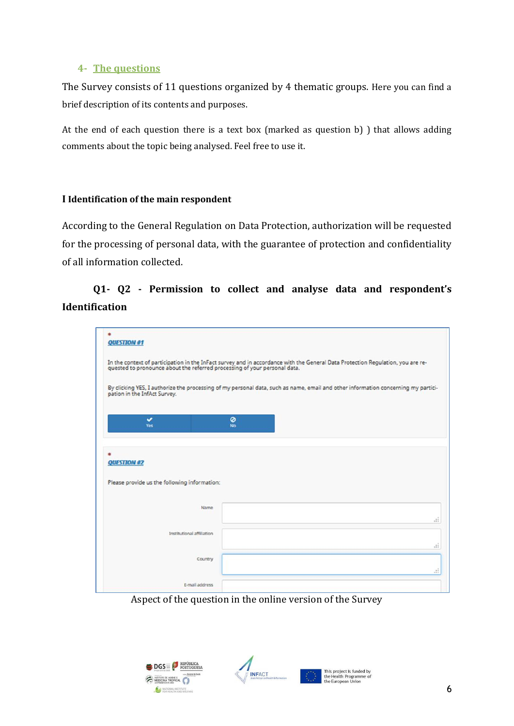#### <span id="page-6-0"></span>**4- The questions**

The Survey consists of 11 questions organized by 4 thematic groups. Here you can find a brief description of its contents and purposes.

At the end of each question there is a text box (marked as question b) ) that allows adding comments about the topic being analysed. Feel free to use it.

#### **I Identification of the main respondent**

According to the General Regulation on Data Protection, authorization will be requested for the processing of personal data, with the guarantee of protection and confidentiality of all information collected.

## **Q1- Q2 - Permission to collect and analyse data and respondent's Identification**

|                                                                    | In the context of participation in the InFact survey and in accordance with the General Data Protection Regulation, you are re-<br>quested to pronounce about the referred processing of your personal data. |                              |
|--------------------------------------------------------------------|--------------------------------------------------------------------------------------------------------------------------------------------------------------------------------------------------------------|------------------------------|
| pation in the InfAct Survey.                                       | By clicking YES, I authorize the processing of my personal data, such as name, email and other information concerning my partici-                                                                            |                              |
| v<br>Yes:                                                          | ø<br>No                                                                                                                                                                                                      |                              |
|                                                                    |                                                                                                                                                                                                              |                              |
|                                                                    |                                                                                                                                                                                                              |                              |
|                                                                    |                                                                                                                                                                                                              |                              |
| <b>QUESTION #2</b><br>Please provide us the following information: |                                                                                                                                                                                                              |                              |
| Name                                                               |                                                                                                                                                                                                              | $\ddot{\ddot{\cdot}}$        |
| Institutional affiliation                                          |                                                                                                                                                                                                              |                              |
| Country                                                            |                                                                                                                                                                                                              |                              |
|                                                                    |                                                                                                                                                                                                              | $\ddot{\ddot{\cdot}}$<br>иÎ. |

Aspect of the question in the online version of the Survey



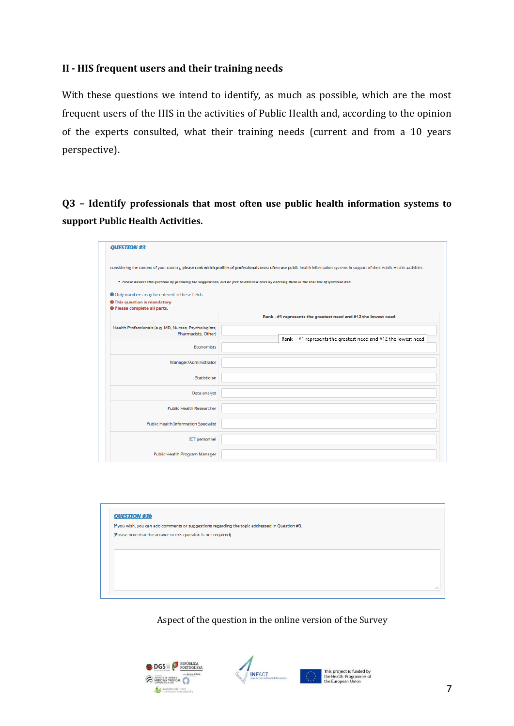### **II - HIS frequent users and their training needs**

With these questions we intend to identify, as much as possible, which are the most frequent users of the HIS in the activities of Public Health and, according to the opinion of the experts consulted, what their training needs (current and from a 10 years perspective).

**Q3 – Identify professionals that most often use public health information systems to support Public Health Activities.**

| <b>QUESTION #3</b>                                                                           |                                                                                                                                                                                                                                                                                                                                 |
|----------------------------------------------------------------------------------------------|---------------------------------------------------------------------------------------------------------------------------------------------------------------------------------------------------------------------------------------------------------------------------------------------------------------------------------|
| <b>O</b> Only numbers may be entered in these fields.<br><b>O</b> This question is mandatory | Considering the context of your country, please rank which profiles of professionals most often use public health information systems in support of their Public Health Activities.<br>• Please answer this question by following the suggestions, but be free to add new ones by entering them in the text box of Question #3b |
| <b>O</b> Please complete all parts.                                                          | Rank - #1 represents the greatest need and #12 the lowest need                                                                                                                                                                                                                                                                  |
| Health Professionals (e.g. MD, Nurses, Psychologists,<br>Pharmacists, Other)                 | Rank - #1 represents the greatest need and #12 the lowest need                                                                                                                                                                                                                                                                  |
| Economists                                                                                   |                                                                                                                                                                                                                                                                                                                                 |
| Manager/Administrator                                                                        |                                                                                                                                                                                                                                                                                                                                 |
| Statistician                                                                                 |                                                                                                                                                                                                                                                                                                                                 |
| Data analyst                                                                                 |                                                                                                                                                                                                                                                                                                                                 |
| <b>Public Health Researcher</b>                                                              |                                                                                                                                                                                                                                                                                                                                 |
| <b>Public Health Information Specialist</b>                                                  |                                                                                                                                                                                                                                                                                                                                 |
| <b>ICT</b> personnel                                                                         |                                                                                                                                                                                                                                                                                                                                 |
| Public Health Program Manager                                                                |                                                                                                                                                                                                                                                                                                                                 |

| <b>QUESTION #3b</b> |                                                                                                |  |  |  |
|---------------------|------------------------------------------------------------------------------------------------|--|--|--|
|                     | If you wish, you can add comments or suggestions regarding the topic addressed in Question #3. |  |  |  |
|                     | (Please note that the answer to this question is not required)                                 |  |  |  |
|                     |                                                                                                |  |  |  |
|                     |                                                                                                |  |  |  |
|                     |                                                                                                |  |  |  |
|                     |                                                                                                |  |  |  |
|                     |                                                                                                |  |  |  |
|                     |                                                                                                |  |  |  |

Aspect of the question in the online version of the Survey



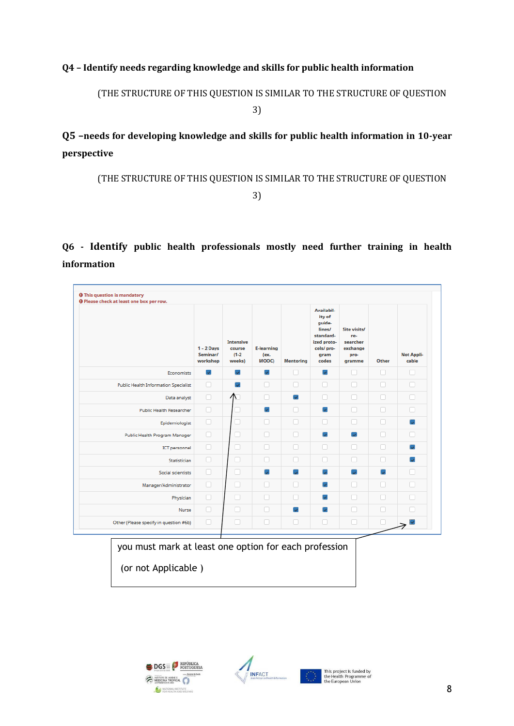#### **Q4 – Identify needs regarding knowledge and skills for public health information**

(THE STRUCTURE OF THIS QUESTION IS SIMILAR TO THE STRUCTURE OF QUESTION

3)

**Q5 –needs for developing knowledge and skills for public health information in 10-year perspective** 

(THE STRUCTURE OF THIS QUESTION IS SIMILAR TO THE STRUCTURE OF QUESTION

3)

**Q6 - Identify public health professionals mostly need further training in health information**

|                                             | $1 - 2$ Days<br>Seminar/<br>workshop | <b>Intensive</b><br>course<br>$(1-2)$<br>weeks) | <b>E-learning</b><br>(ex.<br>MOOC) | <b>Mentoring</b>         | Availabil-<br>ity of<br>guide-<br>lines/<br>standard-<br>ized proto-<br>cols/pro-<br>gram<br>codes | Site visits/<br>re-<br>searcher<br>exchange<br>pro-<br>gramme | Other | <b>Not Appli-</b><br>cable |
|---------------------------------------------|--------------------------------------|-------------------------------------------------|------------------------------------|--------------------------|----------------------------------------------------------------------------------------------------|---------------------------------------------------------------|-------|----------------------------|
| <b>Economists</b>                           | $\overline{\mathcal{L}}$             | $\overline{\mathbf{v}}$                         | $\overline{\mathbf{v}}$            | п                        | $\overline{\mathbf{v}}$                                                                            | п                                                             | n     | П                          |
| <b>Public Health Information Specialist</b> | п                                    |                                                 | n                                  | П                        | n                                                                                                  | п                                                             | п     | П                          |
| Data analyst                                | O                                    | $\Lambda$                                       | n                                  | $\checkmark$             | n                                                                                                  | n                                                             | n     | n                          |
| <b>Public Health Researcher</b>             | n                                    |                                                 | $\overline{\mathbf{v}}$            | Ω                        | $\overline{\mathbf{v}}$                                                                            | □                                                             | n     | П                          |
| Epidemiologist                              | o                                    | O.                                              | п                                  | п                        | n                                                                                                  | n                                                             | п     | $\overline{\mathbf{v}}$    |
| Public Health Program Manager               | о                                    | П                                               | n                                  | п                        | $\overline{\mathbf{v}}$                                                                            | $\overline{\mathbf{v}}$                                       | п     | H                          |
| ICT personnel                               | о                                    | о                                               | Π                                  | Ω                        | п                                                                                                  | п                                                             | П     | $\overline{\mathbf{v}}$    |
| Statistician                                | n                                    | п                                               | n                                  | п                        | ∩                                                                                                  | ⊓                                                             | п     | $\overline{\mathbf{v}}$    |
| Social scientists                           | П                                    | п                                               | C.                                 | $\overline{\mathcal{L}}$ | $\overline{\phantom{a}}$                                                                           | $\overline{\phantom{a}}$                                      | C.    | П                          |
| Manager/Administrator                       | o                                    | П                                               | n                                  | 0                        | $\overline{\mathbf{v}}$                                                                            | п                                                             | п     | П                          |
| Physician                                   | o                                    | П                                               | n                                  | п                        | $\mathbf{v}$                                                                                       | п                                                             | п     | n                          |
| Nurse                                       | O                                    | П                                               | n                                  | $\overline{\mathbf{v}}$  | $\overline{\mathcal{L}}$                                                                           | n                                                             | n     |                            |
| Other (Please specify in question #6b)      | u                                    | u                                               | n                                  | Ω                        | u                                                                                                  | n                                                             | o     |                            |







8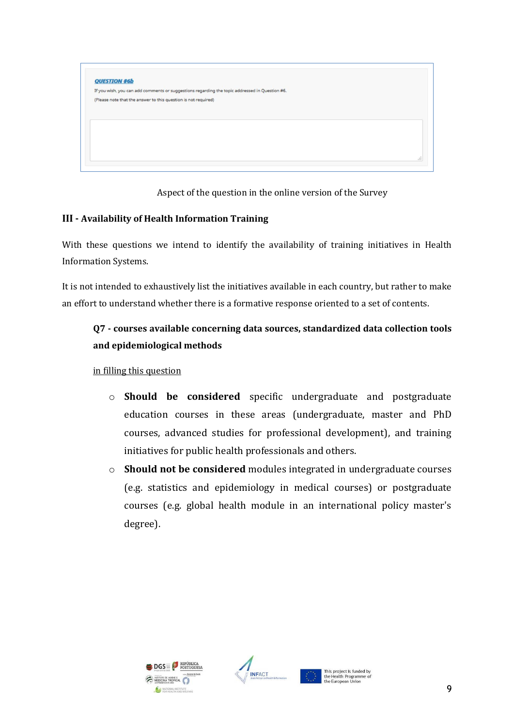

Aspect of the question in the online version of the Survey

#### **III - Availability of Health Information Training**

With these questions we intend to identify the availability of training initiatives in Health Information Systems.

It is not intended to exhaustively list the initiatives available in each country, but rather to make an effort to understand whether there is a formative response oriented to a set of contents.

## **Q7 - courses available concerning data sources, standardized data collection tools and epidemiological methods**

#### in filling this question

- o **Should be considered** specific undergraduate and postgraduate education courses in these areas (undergraduate, master and PhD courses, advanced studies for professional development), and training initiatives for public health professionals and others.
- o **Should not be considered** modules integrated in undergraduate courses (e.g. statistics and epidemiology in medical courses) or postgraduate courses (e.g. global health module in an international policy master's degree).



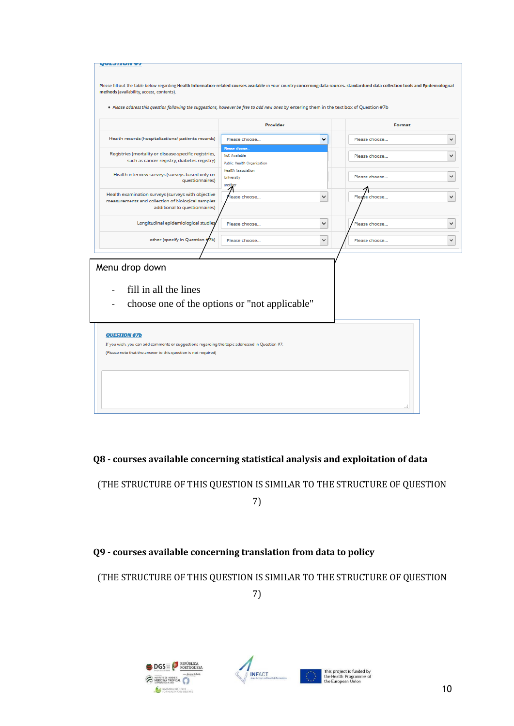| Please fill out the table below regarding Health Information-related courses available in your country concerning data sources. standardized data collection tools and Epidemiological<br>methods (availability, access, contents).<br>. Please address this question following the suggestions, however be free to add new ones by entering them in the text box of Question #7b<br>Provider<br>Format<br>Health records (hospitalizations/ patients records)<br>٠<br>Please choose<br>Please choose<br>Please choose<br>Registries (mortality or disease-specific registries,<br>Not Available<br>Please choose<br>such as cancer registry, diabetes registry)<br><b>Public Health Organization</b><br><b>Health Association</b><br>Health interview surveys (surveys based only on<br>Please choose<br>University<br>questionnaires)<br>and?<br>Health examination surveys (surveys with objective<br>v<br>lease choose<br>Plea<br>e choose<br>measurements and collection of biological samples<br>additional to questionnaires)<br>Longitudinal epidemiological studies<br>$\checkmark$<br>Please choose<br>Please choose<br>other (specify in Question #7b)<br>v<br>Please choose<br>Please choose<br>Menu drop down<br>fill in all the lines<br>choose one of the options or "not applicable"<br><b>QUESTION #7b</b><br>If you wish, you can add comments or suggestions regarding the topic addressed in Question #7.<br>(Please note that the answer to this question is not required) |  |
|-------------------------------------------------------------------------------------------------------------------------------------------------------------------------------------------------------------------------------------------------------------------------------------------------------------------------------------------------------------------------------------------------------------------------------------------------------------------------------------------------------------------------------------------------------------------------------------------------------------------------------------------------------------------------------------------------------------------------------------------------------------------------------------------------------------------------------------------------------------------------------------------------------------------------------------------------------------------------------------------------------------------------------------------------------------------------------------------------------------------------------------------------------------------------------------------------------------------------------------------------------------------------------------------------------------------------------------------------------------------------------------------------------------------------------------------------------------------------------------------------|--|
|                                                                                                                                                                                                                                                                                                                                                                                                                                                                                                                                                                                                                                                                                                                                                                                                                                                                                                                                                                                                                                                                                                                                                                                                                                                                                                                                                                                                                                                                                                 |  |
|                                                                                                                                                                                                                                                                                                                                                                                                                                                                                                                                                                                                                                                                                                                                                                                                                                                                                                                                                                                                                                                                                                                                                                                                                                                                                                                                                                                                                                                                                                 |  |
|                                                                                                                                                                                                                                                                                                                                                                                                                                                                                                                                                                                                                                                                                                                                                                                                                                                                                                                                                                                                                                                                                                                                                                                                                                                                                                                                                                                                                                                                                                 |  |
|                                                                                                                                                                                                                                                                                                                                                                                                                                                                                                                                                                                                                                                                                                                                                                                                                                                                                                                                                                                                                                                                                                                                                                                                                                                                                                                                                                                                                                                                                                 |  |
|                                                                                                                                                                                                                                                                                                                                                                                                                                                                                                                                                                                                                                                                                                                                                                                                                                                                                                                                                                                                                                                                                                                                                                                                                                                                                                                                                                                                                                                                                                 |  |
|                                                                                                                                                                                                                                                                                                                                                                                                                                                                                                                                                                                                                                                                                                                                                                                                                                                                                                                                                                                                                                                                                                                                                                                                                                                                                                                                                                                                                                                                                                 |  |
|                                                                                                                                                                                                                                                                                                                                                                                                                                                                                                                                                                                                                                                                                                                                                                                                                                                                                                                                                                                                                                                                                                                                                                                                                                                                                                                                                                                                                                                                                                 |  |
|                                                                                                                                                                                                                                                                                                                                                                                                                                                                                                                                                                                                                                                                                                                                                                                                                                                                                                                                                                                                                                                                                                                                                                                                                                                                                                                                                                                                                                                                                                 |  |
|                                                                                                                                                                                                                                                                                                                                                                                                                                                                                                                                                                                                                                                                                                                                                                                                                                                                                                                                                                                                                                                                                                                                                                                                                                                                                                                                                                                                                                                                                                 |  |
|                                                                                                                                                                                                                                                                                                                                                                                                                                                                                                                                                                                                                                                                                                                                                                                                                                                                                                                                                                                                                                                                                                                                                                                                                                                                                                                                                                                                                                                                                                 |  |
|                                                                                                                                                                                                                                                                                                                                                                                                                                                                                                                                                                                                                                                                                                                                                                                                                                                                                                                                                                                                                                                                                                                                                                                                                                                                                                                                                                                                                                                                                                 |  |
|                                                                                                                                                                                                                                                                                                                                                                                                                                                                                                                                                                                                                                                                                                                                                                                                                                                                                                                                                                                                                                                                                                                                                                                                                                                                                                                                                                                                                                                                                                 |  |
|                                                                                                                                                                                                                                                                                                                                                                                                                                                                                                                                                                                                                                                                                                                                                                                                                                                                                                                                                                                                                                                                                                                                                                                                                                                                                                                                                                                                                                                                                                 |  |
|                                                                                                                                                                                                                                                                                                                                                                                                                                                                                                                                                                                                                                                                                                                                                                                                                                                                                                                                                                                                                                                                                                                                                                                                                                                                                                                                                                                                                                                                                                 |  |
|                                                                                                                                                                                                                                                                                                                                                                                                                                                                                                                                                                                                                                                                                                                                                                                                                                                                                                                                                                                                                                                                                                                                                                                                                                                                                                                                                                                                                                                                                                 |  |
|                                                                                                                                                                                                                                                                                                                                                                                                                                                                                                                                                                                                                                                                                                                                                                                                                                                                                                                                                                                                                                                                                                                                                                                                                                                                                                                                                                                                                                                                                                 |  |
|                                                                                                                                                                                                                                                                                                                                                                                                                                                                                                                                                                                                                                                                                                                                                                                                                                                                                                                                                                                                                                                                                                                                                                                                                                                                                                                                                                                                                                                                                                 |  |

**Q8 - courses available concerning statistical analysis and exploitation of data**

(THE STRUCTURE OF THIS QUESTION IS SIMILAR TO THE STRUCTURE OF QUESTION

7)

## **Q9 - courses available concerning translation from data to policy**

(THE STRUCTURE OF THIS QUESTION IS SIMILAR TO THE STRUCTURE OF QUESTION

7)



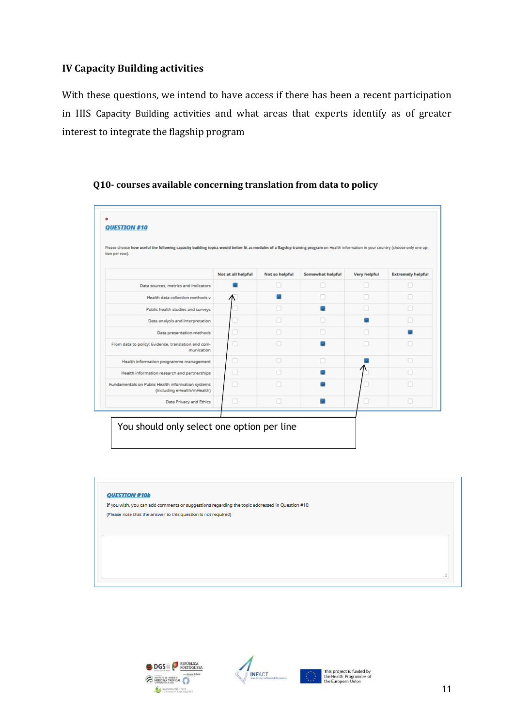### **IV Capacity Building activities**

With these questions, we intend to have access if there has been a recent participation in HIS Capacity Building activities and what areas that experts identify as of greater interest to integrate the flagship program

#### **Q10- courses available concerning translation from data to policy**



#### QUESTION #10b

If you wish, you can add comments or suggestions regarding the topic addressed in Question #10. (Please note that the answer to this question is not required)